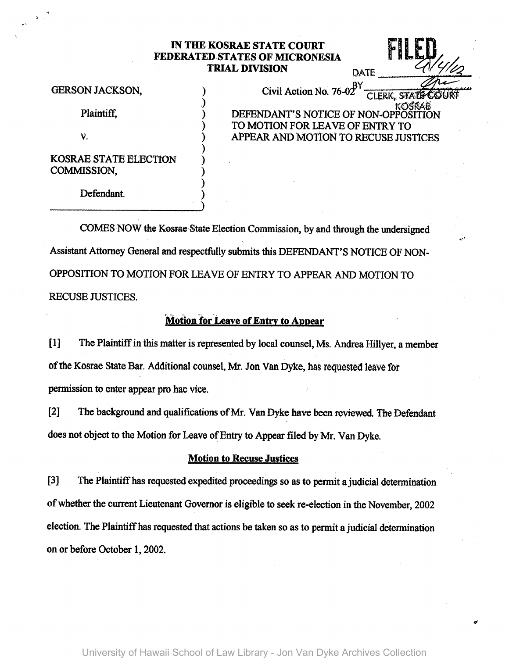## IN THE KOSRAE STATE COURT FEDERATED STATES OF MICRONESIA **IILEL** KOSRAE STATE COURT<br>CD STATES OF MICRONESIA<br>TRIAL DIVISION<br>BY

Plaintiff,

v.

KOSRAE STATE ELECTION COMMISSION,

Defendant.

GERSON JACKSON,  $\qquad \qquad$  Civil Action No. 76-02 CLERK, STATE COURT DEFENDANT'S NOTICE OF NON-OPPOSITION TO MOTION FOR LEAVE OF ENTRY TO ) APPEAR AND MOTtON TO RECUSE JUSTICES

 $\mathbf{r}$ 

COMES NOW the Kosrae-State Election Commission, by and through the undersigned Assistant Attorney General and respectfully submits this DEFENDANT'S NOTICE OF NON-OPPOSITION TO MOTION FOR LEAVE OF ENTRY TO APPEAR AND MOTION TO RECUSE JUSTICES.

) ) ) ) ) )

## **Motion for Leave of Entry to Appear**

[1] The Plaintiff in this matter is represented by local counsel, Ms. Andrea Hillyer, a member of the Kosrae State Bar. Additional counsel, Mr. Jon Van Dyke, has requested leave for permission to enter appear pro hac vice.

[2] The background and qualifications of Mr. Van Dyke have been reviewed. The Defendant does not object to the Motion for Leave of Entry to Appear filed by Mr. Van Dyke.

## Motion to Recuse Justices

[3] The Plaintiff has requested expedited proceedings so as to permit ajudicial determination of whether the current Lieutenant Governor is eligible to seek re-election in the November, 2002 election. The Plaintiff has requested that actions be taken so as to permit a judicial determination on or before October 1, 2002.